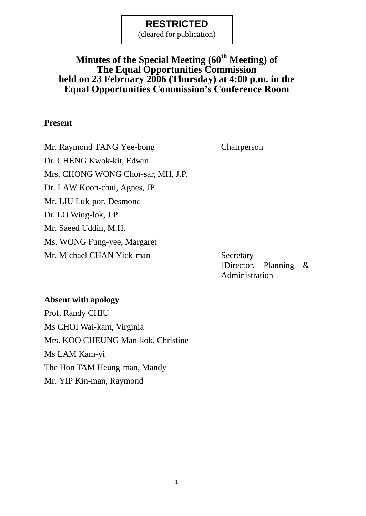(cleared for publication)

### **Minutes of the Special Meeting (60th Meeting) of The Equal Opportunities Commission held on 23 February 2006 (Thursday) at 4:00 p.m. in the Equal Opportunities Commission's Conference Room**

#### **Present**

Mr. Raymond TANG Yee-bong Chairperson Dr. CHENG Kwok-kit, Edwin Mrs. CHONG WONG Chor-sar, MH, J.P. Dr. LAW Koon-chui, Agnes, JP Mr. LIU Luk-por, Desmond Dr. LO Wing-lok, J.P. Mr. Saeed Uddin, M.H. Ms. WONG Fung-yee, Margaret Mr. Michael CHAN Yick-man Secretary

[Director, Planning & Administration]

#### **Absent with apology**

Prof. Randy CHIU Ms CHOI Wai-kam, Virginia Mrs. KOO CHEUNG Man-kok, Christine Ms LAM Kam-yi The Hon TAM Heung-man, Mandy Mr. YIP Kin-man, Raymond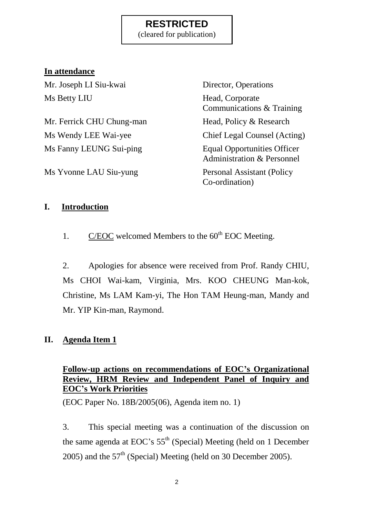(cleared for publication)

### **In attendance**

Mr. Joseph LI Siu-kwai Director, Operations Ms Betty LIU Head, Corporate

Mr. Ferrick CHU Chung-man Head, Policy & Research Ms Wendy LEE Wai-yee Chief Legal Counsel (Acting) Ms Fanny LEUNG Sui-ping Equal Opportunities Officer

Ms Yvonne LAU Siu-yung Personal Assistant (Policy

Communications & Training Administration & Personnel Co-ordination)

### **I. Introduction**

1. C/EOC welcomed Members to the  $60<sup>th</sup>$  EOC Meeting.

2. Apologies for absence were received from Prof. Randy CHIU, Ms CHOI Wai-kam, Virginia, Mrs. KOO CHEUNG Man-kok, Christine, Ms LAM Kam-yi, The Hon TAM Heung-man, Mandy and Mr. YIP Kin-man, Raymond.

### **II. Agenda Item 1**

### **Follow-up actions on recommendations of EOC's Organizational Review, HRM Review and Independent Panel of Inquiry and EOC's Work Priorities**

(EOC Paper No. 18B/2005(06), Agenda item no. 1)

3. This special meeting was a continuation of the discussion on the same agenda at EOC's 55<sup>th</sup> (Special) Meeting (held on 1 December 2005) and the  $57<sup>th</sup>$  (Special) Meeting (held on 30 December 2005).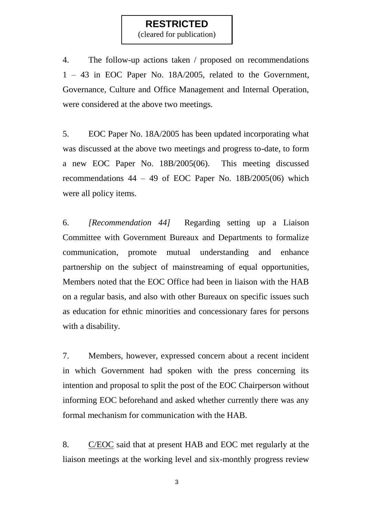(cleared for publication)

4. The follow-up actions taken / proposed on recommendations 1 – 43 in EOC Paper No. 18A/2005, related to the Government, Governance, Culture and Office Management and Internal Operation, were considered at the above two meetings.

5. EOC Paper No. 18A/2005 has been updated incorporating what was discussed at the above two meetings and progress to-date, to form a new EOC Paper No. 18B/2005(06). This meeting discussed recommendations  $44 - 49$  of EOC Paper No.  $18B/2005(06)$  which were all policy items.

6. *[Recommendation 44]* Regarding setting up a Liaison Committee with Government Bureaux and Departments to formalize communication, promote mutual understanding and enhance partnership on the subject of mainstreaming of equal opportunities, Members noted that the EOC Office had been in liaison with the HAB on a regular basis, and also with other Bureaux on specific issues such as education for ethnic minorities and concessionary fares for persons with a disability.

7. Members, however, expressed concern about a recent incident in which Government had spoken with the press concerning its intention and proposal to split the post of the EOC Chairperson without informing EOC beforehand and asked whether currently there was any formal mechanism for communication with the HAB.

8. C/EOC said that at present HAB and EOC met regularly at the liaison meetings at the working level and six-monthly progress review

3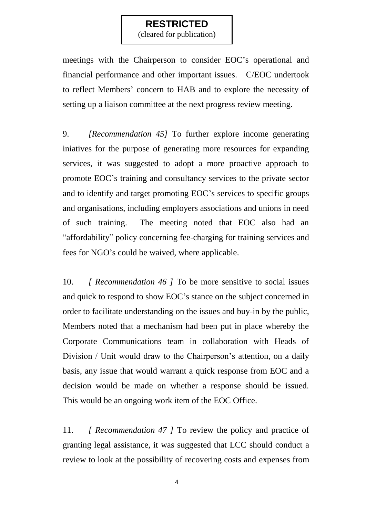(cleared for publication)

meetings with the Chairperson to consider EOC's operational and financial performance and other important issues. C/EOC undertook to reflect Members' concern to HAB and to explore the necessity of setting up a liaison committee at the next progress review meeting.

9. *[Recommendation 45]* To further explore income generating iniatives for the purpose of generating more resources for expanding services, it was suggested to adopt a more proactive approach to promote EOC's training and consultancy services to the private sector and to identify and target promoting EOC's services to specific groups and organisations, including employers associations and unions in need of such training. The meeting noted that EOC also had an "affordability" policy concerning fee-charging for training services and fees for NGO's could be waived, where applicable.

10. *[ Recommendation 46 ]* To be more sensitive to social issues and quick to respond to show EOC's stance on the subject concerned in order to facilitate understanding on the issues and buy-in by the public, Members noted that a mechanism had been put in place whereby the Corporate Communications team in collaboration with Heads of Division / Unit would draw to the Chairperson's attention, on a daily basis, any issue that would warrant a quick response from EOC and a decision would be made on whether a response should be issued. This would be an ongoing work item of the EOC Office.

11. *[ Recommendation 47 ]* To review the policy and practice of granting legal assistance, it was suggested that LCC should conduct a review to look at the possibility of recovering costs and expenses from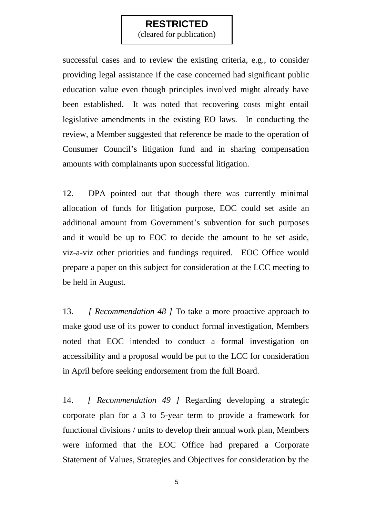(cleared for publication)

successful cases and to review the existing criteria, e.g., to consider providing legal assistance if the case concerned had significant public education value even though principles involved might already have been established. It was noted that recovering costs might entail legislative amendments in the existing EO laws. In conducting the review, a Member suggested that reference be made to the operation of Consumer Council's litigation fund and in sharing compensation amounts with complainants upon successful litigation.

12. DPA pointed out that though there was currently minimal allocation of funds for litigation purpose, EOC could set aside an additional amount from Government's subvention for such purposes and it would be up to EOC to decide the amount to be set aside, viz-a-viz other priorities and fundings required. EOC Office would prepare a paper on this subject for consideration at the LCC meeting to be held in August.

13. *[ Recommendation 48 ]* To take a more proactive approach to make good use of its power to conduct formal investigation, Members noted that EOC intended to conduct a formal investigation on accessibility and a proposal would be put to the LCC for consideration in April before seeking endorsement from the full Board.

14. *[ Recommendation 49 ]* Regarding developing a strategic corporate plan for a 3 to 5-year term to provide a framework for functional divisions / units to develop their annual work plan, Members were informed that the EOC Office had prepared a Corporate Statement of Values, Strategies and Objectives for consideration by the

5